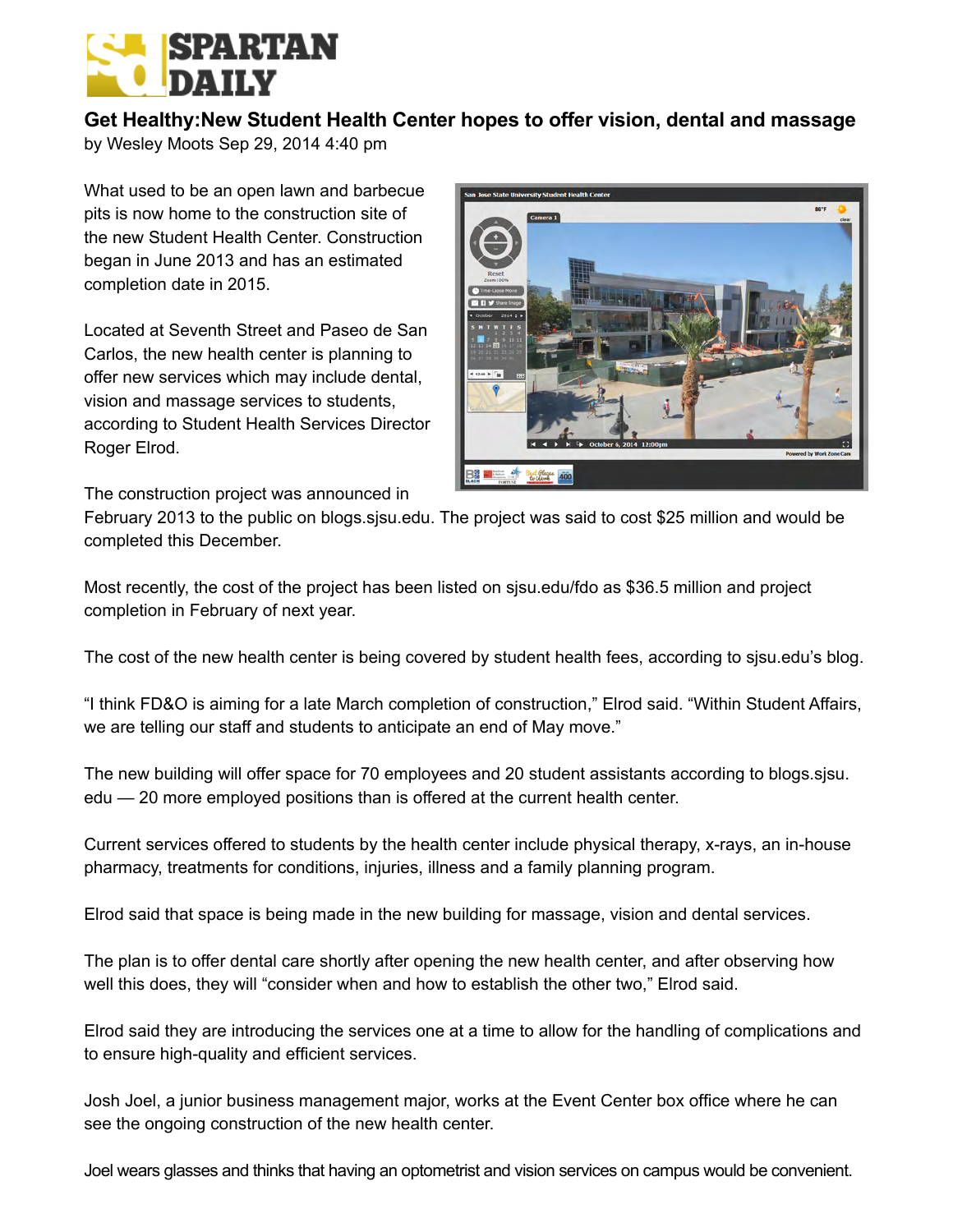

## **Get Healthy:New Student Health Center hopes to offer vision, dental and massage**

by Wesley Moots Sep 29, 2014 4:40 pm

What used to be an open lawn and barbecue pits is now home to the construction site of the new Student Health Center. Construction began in June 2013 and has an estimated completion date in 2015.

Located at Seventh Street and Paseo de San Carlos, the new health center is planning to offer new services which may include dental, vision and massage services to students, according to Student Health Services Director Roger Elrod.



The construction project was announced in

February 2013 to the public on blogs.sjsu.edu. The project was said to cost \$25 million and would be completed this December.

Most recently, the cost of the project has been listed on sjsu.edu/fdo as \$36.5 million and project completion in February of next year.

The cost of the new health center is being covered by student health fees, according to sjsu.edu's blog.

"I think FD&O is aiming for a late March completion of construction," Elrod said. "Within Student Affairs, we are telling our staff and students to anticipate an end of May move."

The new building will offer space for 70 employees and 20 student assistants according to blogs.sjsu. edu — 20 more employed positions than is offered at the current health center.

Current services offered to students by the health center include physical therapy, x-rays, an in-house pharmacy, treatments for conditions, injuries, illness and a family planning program.

Elrod said that space is being made in the new building for massage, vision and dental services.

The plan is to offer dental care shortly after opening the new health center, and after observing how well this does, they will "consider when and how to establish the other two," Elrod said.

Elrod said they are introducing the services one at a time to allow for the handling of complications and to ensure high-quality and efficient services.

Josh Joel, a junior business management major, works at the Event Center box office where he can see the ongoing construction of the new health center.

Joel wears glasses and thinks that having an optometrist and vision services on campus would be convenient.